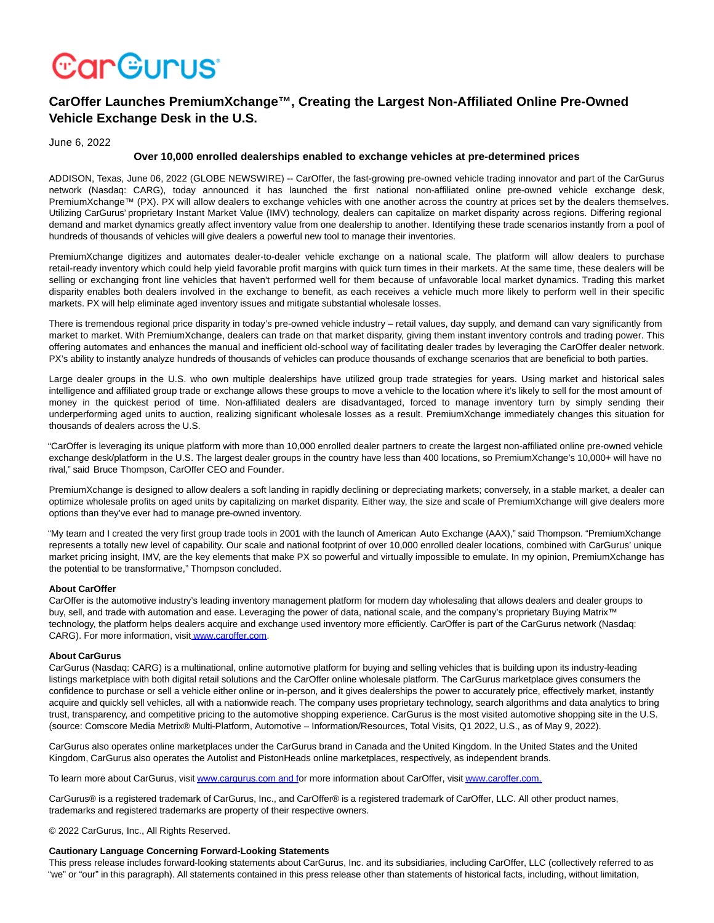# **CarGurus**

# **CarOffer Launches PremiumXchange™, Creating the Largest Non-Affiliated Online Pre-Owned Vehicle Exchange Desk in the U.S.**

## June 6, 2022

## **Over 10,000 enrolled dealerships enabled to exchange vehicles at pre-determined prices**

ADDISON, Texas, June 06, 2022 (GLOBE NEWSWIRE) -- CarOffer, the fast-growing pre-owned vehicle trading innovator and part of the CarGurus network (Nasdaq: CARG), today announced it has launched the first national non-affiliated online pre-owned vehicle exchange desk, PremiumXchange™ (PX). PX will allow dealers to exchange vehicles with one another across the country at prices set by the dealers themselves. Utilizing CarGurus' proprietary Instant Market Value (IMV) technology, dealers can capitalize on market disparity across regions. Differing regional demand and market dynamics greatly affect inventory value from one dealership to another. Identifying these trade scenarios instantly from a pool of hundreds of thousands of vehicles will give dealers a powerful new tool to manage their inventories.

PremiumXchange digitizes and automates dealer-to-dealer vehicle exchange on a national scale. The platform will allow dealers to purchase retail-ready inventory which could help yield favorable profit margins with quick turn times in their markets. At the same time, these dealers will be selling or exchanging front line vehicles that haven't performed well for them because of unfavorable local market dynamics. Trading this market disparity enables both dealers involved in the exchange to benefit, as each receives a vehicle much more likely to perform well in their specific markets. PX will help eliminate aged inventory issues and mitigate substantial wholesale losses.

There is tremendous regional price disparity in today's pre-owned vehicle industry – retail values, day supply, and demand can vary significantly from market to market. With PremiumXchange, dealers can trade on that market disparity, giving them instant inventory controls and trading power. This offering automates and enhances the manual and inefficient old-school way of facilitating dealer trades by leveraging the CarOffer dealer network. PX's ability to instantly analyze hundreds of thousands of vehicles can produce thousands of exchange scenarios that are beneficial to both parties.

Large dealer groups in the U.S. who own multiple dealerships have utilized group trade strategies for years. Using market and historical sales intelligence and affiliated group trade or exchange allows these groups to move a vehicle to the location where it's likely to sell for the most amount of money in the quickest period of time. Non-affiliated dealers are disadvantaged, forced to manage inventory turn by simply sending their underperforming aged units to auction, realizing significant wholesale losses as a result. PremiumXchange immediately changes this situation for thousands of dealers across the U.S.

"CarOffer is leveraging its unique platform with more than 10,000 enrolled dealer partners to create the largest non-affiliated online pre-owned vehicle exchange desk/platform in the U.S. The largest dealer groups in the country have less than 400 locations, so PremiumXchange's 10,000+ will have no rival," said Bruce Thompson, CarOffer CEO and Founder.

PremiumXchange is designed to allow dealers a soft landing in rapidly declining or depreciating markets; conversely, in a stable market, a dealer can optimize wholesale profits on aged units by capitalizing on market disparity. Either way, the size and scale of PremiumXchange will give dealers more options than they've ever had to manage pre-owned inventory.

"My team and I created the very first group trade tools in 2001 with the launch of American Auto Exchange (AAX)," said Thompson. "PremiumXchange represents a totally new level of capability. Our scale and national footprint of over 10,000 enrolled dealer locations, combined with CarGurus' unique market pricing insight, IMV, are the key elements that make PX so powerful and virtually impossible to emulate. In my opinion, PremiumXchange has the potential to be transformative," Thompson concluded.

#### **About CarOffer**

CarOffer is the automotive industry's leading inventory management platform for modern day wholesaling that allows dealers and dealer groups to buy, sell, and trade with automation and ease. Leveraging the power of data, national scale, and the company's proprietary Buying Matrix™ technology, the platform helps dealers acquire and exchange used inventory more efficiently. CarOffer is part of the CarGurus network (Nasdaq: CARG). For more information, visi[t www.caroffer.com.](https://www.globenewswire.com/Tracker?data=20Uc1TnFjWvAuR_W36RVqYnCeX3-24nPVlk8gUf_bDIF3R67e-HGfN1VwB2sLrrYHzu3HtaWu_4oTvaSN4QjkJqmPKMbfaRLdgc34PthHVVWW9fMsDT8zBzuq6qiTjodcnQ8VY8Eepg9OnGapGU6SXE_M15gNh_1tGyV7opRE20=)

#### **About CarGurus**

CarGurus (Nasdaq: CARG) is a multinational, online automotive platform for buying and selling vehicles that is building upon its industry-leading listings marketplace with both digital retail solutions and the CarOffer online wholesale platform. The CarGurus marketplace gives consumers the confidence to purchase or sell a vehicle either online or in-person, and it gives dealerships the power to accurately price, effectively market, instantly acquire and quickly sell vehicles, all with a nationwide reach. The company uses proprietary technology, search algorithms and data analytics to bring trust, transparency, and competitive pricing to the automotive shopping experience. CarGurus is the most visited automotive shopping site in the U.S. (source: Comscore Media Metrix® Multi-Platform, Automotive – Information/Resources, Total Visits, Q1 2022, U.S., as of May 9, 2022).

CarGurus also operates online marketplaces under the CarGurus brand in Canada and the United Kingdom. In the United States and the United Kingdom, CarGurus also operates the Autolist and PistonHeads online marketplaces, respectively, as independent brands.

To learn more about CarGurus, visi[t www.cargurus.com and fo](https://www.globenewswire.com/Tracker?data=InKZdTO3kWR6TyOIVIQfOrRscCPfAF2U7eGGG6tWEL-JUYedriqSCzEfvGclrwRoQstM0YtmZPOZd7P71lTyQoE-vhN6IxyzMdbZq4KeRfE=)r more information about CarOffer, visi[t www.caroffer.com.](https://www.globenewswire.com/Tracker?data=InKZdTO3kWR6TyOIVIQfOhmWlCSw9m08h_vPPEe19Cee3W3B-eUbRoWl-qNnSKdiIiloHzSO1-WsgxdsF6tcZA==)

CarGurus® is a registered trademark of CarGurus, Inc., and CarOffer® is a registered trademark of CarOffer, LLC. All other product names, trademarks and registered trademarks are property of their respective owners.

© 2022 CarGurus, Inc., All Rights Reserved.

#### **Cautionary Language Concerning Forward-Looking Statements**

This press release includes forward-looking statements about CarGurus, Inc. and its subsidiaries, including CarOffer, LLC (collectively referred to as "we" or "our" in this paragraph). All statements contained in this press release other than statements of historical facts, including, without limitation,